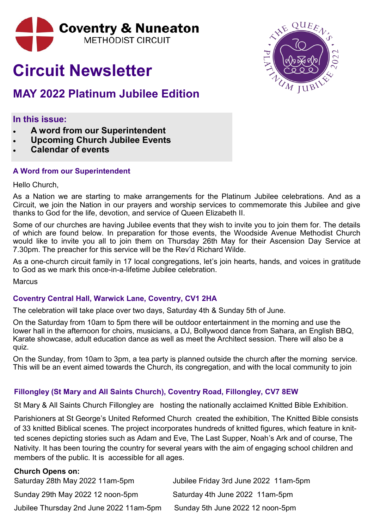

# **Circuit Newsletter**

## **MAY 2022 Platinum Jubilee Edition**

**In this issue:**

- **A word from our Superintendent**
- **Upcoming Church Jubilee Events**
- **Calendar of events**

#### **A Word from our Superintendent**

Hello Church,

As a Nation we are starting to make arrangements for the Platinum Jubilee celebrations. And as a Circuit, we join the Nation in our prayers and worship services to commemorate this Jubilee and give thanks to God for the life, devotion, and service of Queen Elizabeth II.

Some of our churches are having Jubilee events that they wish to invite you to join them for. The details of which are found below. In preparation for those events, the Woodside Avenue Methodist Church would like to invite you all to join them on Thursday 26th May for their Ascension Day Service at 7.30pm. The preacher for this service will be the Rev'd Richard Wilde.

As a one-church circuit family in 17 local congregations, let's join hearts, hands, and voices in gratitude to God as we mark this once-in-a-lifetime Jubilee celebration.

**Marcus** 

#### **Coventry Central Hall, Warwick Lane, Coventry, CV1 2HA**

The celebration will take place over two days, Saturday 4th & Sunday 5th of June.

On the Saturday from 10am to 5pm there will be outdoor entertainment in the morning and use the lower hall in the afternoon for choirs, musicians, a DJ, Bollywood dance from Sahara, an English BBQ, Karate showcase, adult education dance as well as meet the Architect session. There will also be a quiz.

On the Sunday, from 10am to 3pm, a tea party is planned outside the church after the morning service. This will be an event aimed towards the Church, its congregation, and with the local community to join

### **Fillongley (St Mary and All Saints Church), Coventry Road, Fillongley, CV7 8EW**

St Mary & All Saints Church Fillongley are hosting the nationally acclaimed Knitted Bible Exhibition.

Parishioners at St George's United Reformed Church created the exhibition, The Knitted Bible consists of 33 knitted Biblical scenes. The project incorporates hundreds of knitted figures, which feature in knitted scenes depicting stories such as Adam and Eve, The Last Supper, Noah's Ark and of course, The Nativity. It has been touring the country for several years with the aim of engaging school children and members of the public. It is accessible for all ages.

#### **Church Opens on:**

| Saturday 28th May 2022 11am-5pm         | Jubilee Friday 3rd June 2022 11am-5pm |
|-----------------------------------------|---------------------------------------|
| Sunday 29th May 2022 12 noon-5pm        | Saturday 4th June 2022 11am-5pm       |
| Jubilee Thursday 2nd June 2022 11am-5pm | Sunday 5th June 2022 12 noon-5pm      |